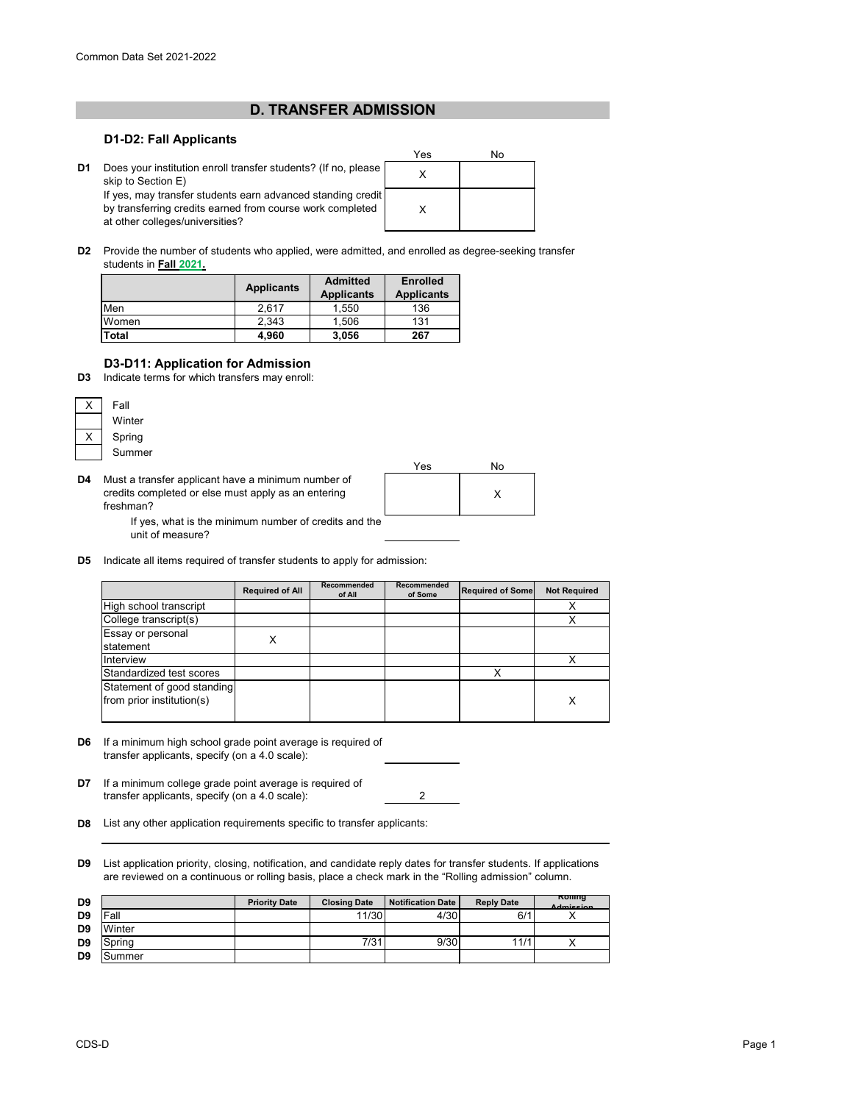## **D. TRANSFER ADMISSION**

### **D1-D2: Fall Applicants**



**D2** Provide the number of students who applied, were admitted, and enrolled as degree-seeking transfer students in **Fall 2021.**

|              | <b>Applicants</b> | <b>Admitted</b><br><b>Applicants</b> | <b>Enrolled</b><br><b>Applicants</b> |  |
|--------------|-------------------|--------------------------------------|--------------------------------------|--|
| Men          | 2.617             | 1,550                                | 136                                  |  |
| Women        | 2,343             | 1,506                                | 131                                  |  |
| <b>Total</b> | 4.960             | 3,056                                | 267                                  |  |

## **D3-D11: Application for Admission**

**D3** Indicate terms for which transfers may enroll:

| Fall   |  |  |
|--------|--|--|
| Winter |  |  |
| Spring |  |  |
| Summer |  |  |

**D4** Must a transfer applicant have a minimum number of credits completed or else must apply as an entering freshman?



If yes, what is the minimum number of credits and the unit of measure?

**D5** Indicate all items required of transfer students to apply for admission:

|                                                         | <b>Required of All</b> | Recommended<br>of All | Recommended<br>of Some | <b>Required of Some</b> | <b>Not Required</b> |
|---------------------------------------------------------|------------------------|-----------------------|------------------------|-------------------------|---------------------|
| High school transcript                                  |                        |                       |                        |                         |                     |
| College transcript(s)                                   |                        |                       |                        |                         |                     |
| Essay or personal<br>statement                          |                        |                       |                        |                         |                     |
| Interview                                               |                        |                       |                        |                         |                     |
| Standardized test scores                                |                        |                       |                        |                         |                     |
| Statement of good standing<br>from prior institution(s) |                        |                       |                        |                         | X                   |

- **D6** If a minimum high school grade point average is required of transfer applicants, specify (on a 4.0 scale):
- **D7** If a minimum college grade point average is required of 2 transfer applicants, specify (on a 4.0 scale):
- **D8** List any other application requirements specific to transfer applicants:
- **D9** List application priority, closing, notification, and candidate reply dates for transfer students. If applications are reviewed on a continuous or rolling basis, place a check mark in the "Rolling admission" column.

| D <sub>9</sub> |         | <b>Priority Date</b> | <b>Closing Date</b> | <b>Notification Date</b> | <b>Reply Date</b> | Rommg<br><b>Admission</b> |
|----------------|---------|----------------------|---------------------|--------------------------|-------------------|---------------------------|
| D <sub>9</sub> | lFall   |                      | 11/30               | 4/30                     | 6/1               |                           |
| D <sub>9</sub> | Winter  |                      |                     |                          |                   |                           |
| D <sub>9</sub> | ;pring  |                      | 7/31                | 9/30                     | 11/1              |                           |
| D <sub>9</sub> | ıSummer |                      |                     |                          |                   |                           |